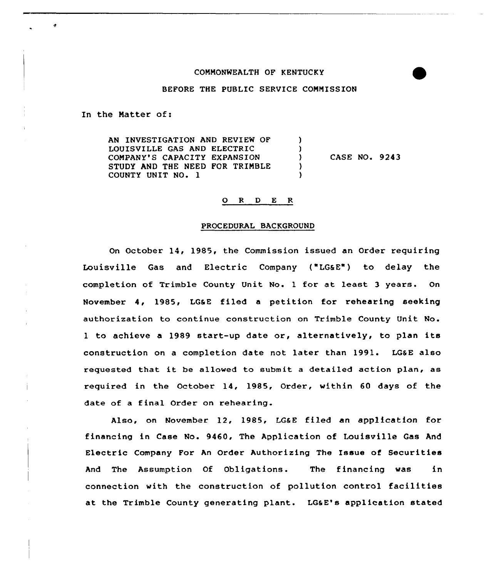# COMMONWEALTH OF KENTUCKY



# BEFORE THE PUBLIC SERVICE COMMISSION

In the Matter of:

đ.

AN INVESTIGATION AND REVIEW OF  $\lambda$ LOUISVILLE GAS AND ELECTRIC <sup>1</sup> COMPANY'S CAPACITY EXPANSION CASE NO. 9243  $\mathcal{L}$ STUDY AND THE NEED FOR TRIMBLE A COUNTY UNIT NO. 1

### 0 <sup>R</sup> <sup>D</sup> <sup>E</sup> <sup>R</sup>

#### PROCEDURAL BACKGROUND

On October 14, 1985, the Commission issued an Order requiring Louisville Gas and Electric Company ("LGaE") to delay the completion of Trimble County Unit No. 1 for at least <sup>3</sup> years. On November 4, 1985, LG&E filed a petition for rehearing seeking authorization to continue construction on Trimble County Unit No. <sup>1</sup> to achieve <sup>a</sup> 1989 start-up date or, alternatively, to plan its construction on a completion date not later than 1991. LGSE also requested that it be allowed to submit <sup>a</sup> detailed action plan, as required in the October 14, 1985, Order, within 60 days of the date of a final Order on rehearing.

Also, on November 12, 1985, LGaE filed an application for financing in Case No. 9460, The Application of Louisville Gas And Electric Company For An Order Authorizing The Issue of Securities And The Assumption Of Obligations. The financing was in connection with the construction of pollution control facilities at the Trimble County generating plant. LGaE's application stated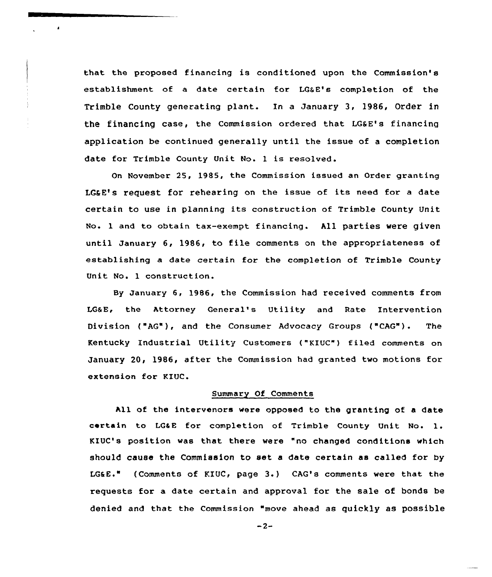that the proposed financing is conditioned upon the Commission's establishment of a date certain for LGGE's completion of the Trimble County generating plant. In a January 3, 1986, Order in the financing case, the Commission ordered that LGaE's financing application be continued generally until the issue of a completion date for Trimble County Unit No. 1 is resolved.

 $\mathbf{r}$ 

On November 25, 1985, the Commission issued an Order granting LG&E's request for rehearing on the issue of its need for a date certain to use in planning its construction of Trimble County Unit No. 1 and to obtain tax-exempt financing. All parties were given until January 6, 1986, to file comments on the appropriateness of establishing a date certain for the completion of Trimble County Unit No. 1 construction.

By January 6, 1986, the Commission had received comments from LGSE, the Attorney General's Utility and Rate Intervention Division ("AG"), and the Consumer Advocacy Groups ("CAG"). The Kentucky Industrial Utility Customers ("KIUC") filed comments on January 2Q, 1986< after the Commission had granted two motions for extension for KIUC.

# Summary Of Comments

All of the intervenors were opposed to the granting of a date certain to LG&E for completion of Trimble County Unit No. 1. KIUC's position was that there were "no changed conditions which should cause the Commission to set a date certain as called for by LGSE." (Comments of KIUC, page 3.) CAG's comments were that the requests for a date certain and approval for the sale of bonds be denied and that the Commission "move ahead as quickly as possible

 $-2-$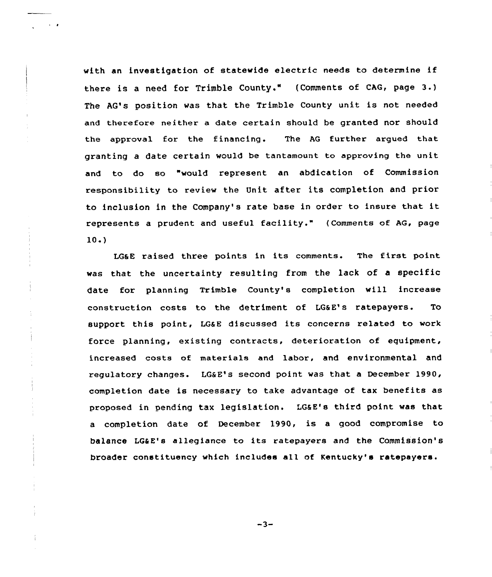with an investigation of statewide electric needs to determine if there is <sup>a</sup> need for Trimble County." (Comments of CAG, page 3.) The AG's position was that the Trimble County unit is not needed and therefore neither a date certain should be granted nor should the approval for the financing. The AG further argued that granting a date certain would be tantamount to approving the unit and to do so "would represent an abdication of Commission responsibility to review the Unit after its completion and prior to inclusion in the Company's rate base in order to insure that it represents <sup>a</sup> prudent and useful facility." (Comments of AG, page  $10.$ 

 $\sim$   $\sim$   $\alpha$ 

LGaE raised three points in its comments. The first point was that the uncertainty resulting from the lack of a specific date for planning Trimble County's completion will increase construction costs to the detriment of LG6 E's ratepayers. To support this point, LG&E discussed its concerns related to work force planning, existing contracts, deterioration of equipment, increased costs of materials and labor, and environmental and regulatory changes. LG&E's second point was that a December 1990, completion date is necessary to take advantage of tax benefits as proposed in pending tax legislation. LG&E's third point was that a completion date of December 1990, is a good compromise to balance LGSE's allegiance to its ratepayers and the Commission's broader constituency which includes all of Kentucky's ratepayers.

 $-3-$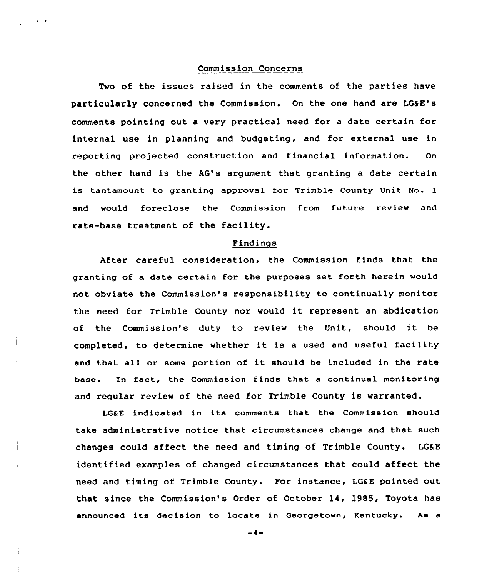# Commission Concerns

 $\ddot{\phantom{0}}$ 

Two of the issues raised in the comments of the parties have particularly concerned the Commission. On the one hand are LQSE's comments pointing out a very practical need for a date certain for internal use in planning and budgeting, and for external use in reporting projected construction and financial information. On the other hand is the AG's argument that granting a date certain is tantamount to granting approval for Trimble County Unit No. l and would foreclose the Commission from future review and rate-base treatment of the facility.

### Findings

After careful consideration, the Commission finds that the granting of a date certain for the purposes set forth herein would not obviate the Commission's responsibility to continually monitor the need for Trimble County nor would it represent an abdication of the Commission's duty to review the Unit, should it be completed, to determine whether it is <sup>a</sup> used and useful facility and that all or some portion of it should be included in the rate base. In fact, the Commission finds that <sup>a</sup> continual monitoring and regular review of the need for Trimble County is warranted.

LG&E indicated in its comments that the Commission should take administrative notice that circumstances change and that such changes could affect the need and timing of Trimble County. LG6E identified examples of changed circumstances that could affect the need and timing of Trimble County. For instance, LGaE pointed out that since the Commission's Order of October 14, 1985, Toyota has announced its decision to locate in Georgetown, Kentucky. As <sup>a</sup>

 $-4-$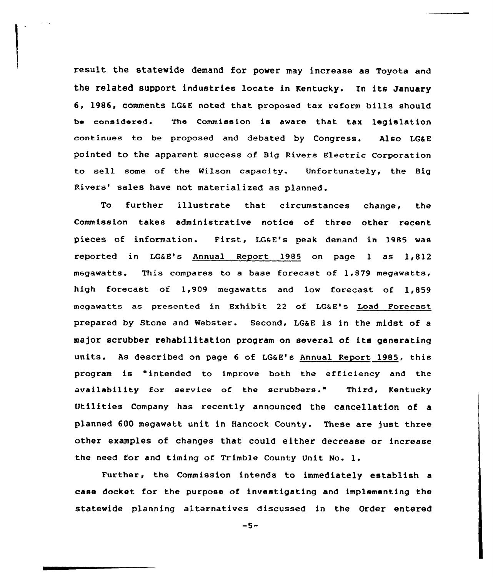result the statewide demand for power may increase as Toyota and the related support industries locate in Kentucky. In its January 6, 1986, comments LG&E noted that proposed tax reform bills should be considered. The Commission is aware that. tax legislation continues to be proposed and debated by Congress. Also LG&E pointed to the apparent success of Big Rivers Electric corporation to sell some of the Wilson capacity. Unfortunately, the Big Rivers' sales have not materialized as planned.

To further illustrate that circumstances change, the Commission takes administrative notice of three other recent pieces of information. First, LG&E's peak demand in 1985 was reported in LGaE's Annual Report 1985 on page <sup>1</sup> as 1,812 megawatts. This compares to a base forecast of 1,879 megawatts, high forecast of 1,909 megawatts and low forecast of 1,859 megawatts as presented in Exhibit 22 of LG&E's Load Forecast prepared by Stone and Webster. Second, LG&E is in the midst of a major scrubber rehabilitation program on several of its generating units. As described on page 6 of LG&E's Annual Report 1985, this program is "intended to improve both the efficiency and the availability for service of the scrubbers." Third, Kentucky Utilities Company has recently announced the cancellation of a planned 600 megawatt unit in Hancock County. These are just three other examples of changes that could either decrease or increase the need for and timing of Trimble County Unit No. l.

Further, the Commission intends to immediately establish a case docket for the purpose of investigating and implementing the statewide planning alternatives discussed in the Order entered

 $-5-$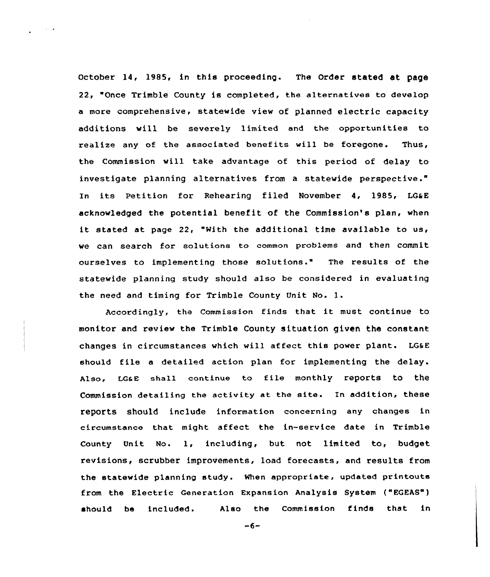October 14, 1985, in this proceeding. The Order stated at page 22, "Once Trimble County is completed, the alternatives to develop a more comprehensive, statewide view of planned electric capacity additions will be severely limited and the opportunities to realize any of the associated benefits will be foregone. Thus, the Commission vill take advantage of this period of delay to investigate planning alternatives from a statevide perspective." In its Petition for Rehearing filed November 4, 1985, LG&E acknowledged the potential benefit of the Commission's plan, when it stated at page 22, "With the additional time available ta us, we ean search for solutions to common problems and then commit ourselves to implementing those solutions." The results of the statewide planning study should also be considered in evaluating the need and timing for Trimble County Unit No. 1.

 $\sim 10^{-11}$   $\sigma$ 

Accordingly, the Commission finds that it must continue to monitor and review the Trimble County situation given the constant changes in circumstances which will affect this power plant. LG6 <sup>E</sup> should file <sup>a</sup> detailed action plan for implementing the delay. Also, LG&E shall continue to file monthly reports to the Commission detailing the activity at the site. In addition, these reports should include information concerning any changes in circumstance that might affect the in-service date in Trimble County Unit No. 1, including, but not limited to, budget revisions, scrubber improvements, load forecasts, and results from the statewide planning study. When appropriate, updated printouts from the Electric Generation Expansion Analysis System ("EGEAS") should be included. Also the Commission finds that in

 $-6-$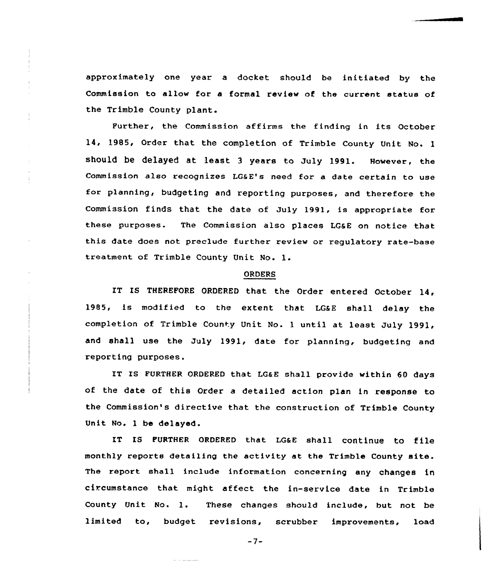approximately one year a docket should be initiated by the Commissian to allaw for a formal review of the current status of the Trimble County plant.

Further, the Commission af firms the finding in its October 14, 1985, Order that the completion of Trimble County Unit No. <sup>1</sup> should be delayed at least 3 years to July 1991. However, the Commission also recognizes LG&E's need for a date certain to use for planning, budgeting and reporting purposes, and therefore the Commission finds that the date of July 1991, is appropriate for these purposes. The Commission also places LG&E on notice that this date does not preclude further review or regulatory rate-base treatment of Trimble County Unit No. l.

# ORDERS

IT IS THEREFORE ORDERED that the Order entered October 14, 1985, is modified to the extent that LG&E shall delay the completion of Trimble County Unit No. <sup>1</sup> until at least July 1991, and shall use the July 1991, date for planning, budgeting and reporting purposes.

IT IS FURTHER ORDERED that LG&E shall provide within 60 days of the date of this Order a detailed action plan in response to the Commission's directive that the construction of Trimble County Unit No. 1 be delayed.

IT Is FURTHER oRDERED that LG&E shall continue to file monthly reports detailing the activity at the Trimble County site. The report shall include information concerning any changes in circumstance that might affect the in-service date in Trimble County Unit No. 1, These changes should include, but not be limited to, budget revisions, scrubber improvements, load

 $-7-$